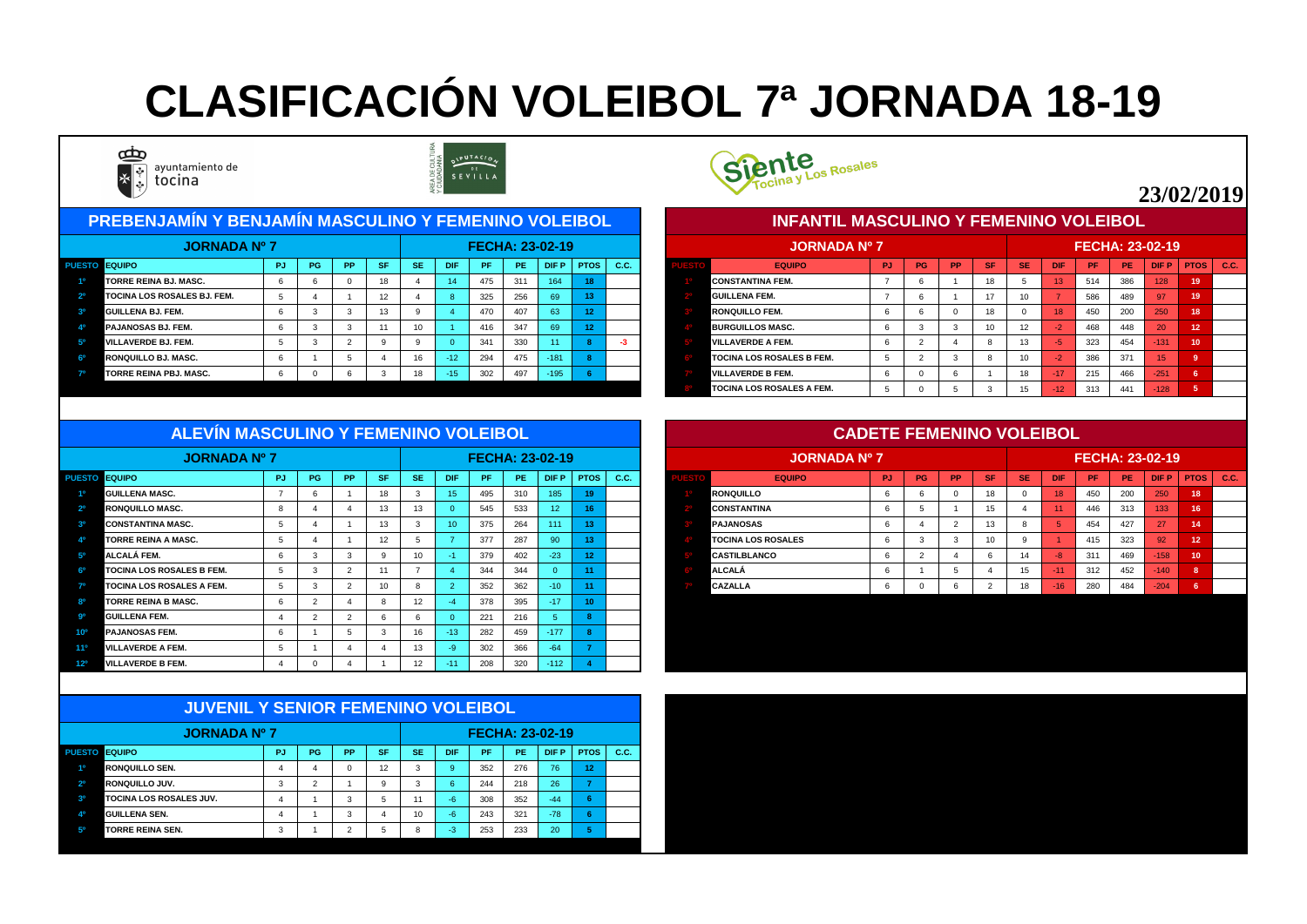| <b>PREBENJAMÍN Y BENJAMÍN MASCULINO Y FEMENINO VOLEIBOL</b> |           |           |           |           |            |     |     |                        |                 |      |  | <u>INFANTIL MASCULINO Y FEMENINO VOLEIBOL,</u> |     |                 |           |           |                 |                 |                        |     |                 |             |      |
|-------------------------------------------------------------|-----------|-----------|-----------|-----------|------------|-----|-----|------------------------|-----------------|------|--|------------------------------------------------|-----|-----------------|-----------|-----------|-----------------|-----------------|------------------------|-----|-----------------|-------------|------|
| <b>JORNADA Nº 7</b>                                         |           |           |           |           |            |     |     | <b>FECHA: 23-02-19</b> |                 |      |  | <b>JORNADA Nº 7</b>                            |     |                 |           |           |                 |                 | <b>FECHA: 23-02-19</b> |     |                 |             |      |
| <b>PUESTO EQUIPO</b>                                        | <b>PG</b> | <b>PP</b> | <b>SF</b> | <b>SE</b> | <b>DIF</b> | /PF | PE. |                        | $D$ IF P   PTOS | C.C. |  | <b>EQUIPO</b>                                  | PJ. | PG <sub>I</sub> | <b>PP</b> | <b>SF</b> | <b>SE</b>       | <b>DIF</b>      | <b>PF</b>              | PE. | <b>DIFP</b>     | <b>PTOS</b> | C.C. |
| <b>TORRE REINA BJ. MASC.</b>                                |           |           | 18        |           | 14         | 475 | 311 | 164                    | 18              |      |  | <b>CONSTANTINA FEM.</b>                        |     |                 |           | 18        |                 | $\overline{13}$ | 514                    | 386 | 128             | 19          |      |
| <b>TOCINA LOS ROSALES BJ. FEM.</b>                          |           |           | 12        |           |            | 325 | 256 | 69                     | 13 <sub>1</sub> |      |  | <b>GUILLENA FEM.</b>                           |     |                 |           | 17        | 10              |                 | 586                    | 489 | 97              | 19          |      |
| <b>GUILLENA BJ. FEM.</b>                                    |           |           | 13        |           |            | 470 | 407 | 63                     |                 |      |  | <b>RONQUILLO FEM.</b>                          |     |                 |           | 18        |                 | 18              | 450                    | 200 | 250             | 18          |      |
| <b>PAJANOSAS BJ. FEM.</b>                                   |           |           |           | 10        |            | 416 | 347 | 69                     | 12              |      |  | <b>BURGUILLOS MASC.</b>                        |     |                 |           | 10        | 12 <sup>°</sup> | $-2$            | 468                    | 448 | 20              | 12          |      |
| <b>VILLAVERDE BJ. FEM.</b>                                  |           |           |           |           |            | 341 | 330 | 11 <sub>1</sub>        |                 |      |  | <b>VILLAVERDE A FEM.</b>                       |     |                 |           |           | 13              |                 | 323                    | 454 | $-131$          | 10          |      |
| RONQUILLO BJ. MASC.                                         |           |           |           | 16        | $-12/$     | 294 | 475 | $-181$                 |                 |      |  | <b>TOCINA LOS ROSALES B FEM.</b>               |     |                 |           |           | 10 <sup>°</sup> | $-2$            | 386                    | 371 | 15 <sup>1</sup> |             |      |
| <b>TORRE REINA PBJ. MASC.</b>                               |           |           |           | 18        |            | 302 | 497 | $-195$                 |                 |      |  | <b>VILLAVERDE B FEM.</b>                       |     |                 |           |           | 18              | 4177            | 215                    | 466 | $-251$          |             |      |
|                                                             |           |           |           |           |            |     |     |                        |                 |      |  | <b>TOCINA LOS ROSALES A FEM.</b>               |     |                 |           |           |                 | $-12$           | 313                    | 441 | $-128$          |             |      |



|             | JORNADA Nº 7                     |           |           |           |           |           |                |     |           | <b>FECHA: 23-02-19</b> |                   |             |
|-------------|----------------------------------|-----------|-----------|-----------|-----------|-----------|----------------|-----|-----------|------------------------|-------------------|-------------|
| <b>ESTO</b> | <b>EQUIPO</b>                    | <b>PJ</b> | <b>PG</b> | <b>PP</b> | <b>SF</b> | <b>SE</b> | <b>DIF</b>     | PF  | <b>PE</b> | <b>DIFP</b>            | <b>PTOS</b>       | <b>C.C.</b> |
|             | <b>CONSTANTINA FEM.</b>          | 7         | 6         |           | 18        | 5         | 13             | 514 | 386       | 128                    | 19                |             |
|             | <b>GUILLENA FEM.</b>             |           | 6         |           | 17        | 10        | $\overline{7}$ | 586 | 489       | 97                     | 19                |             |
|             | <b>IRONQUILLO FEM.</b>           | 6         | 6         | $\Omega$  | 18        | $\Omega$  | 18             | 450 | 200       | 250                    | 18                |             |
|             | <b>BURGUILLOS MASC.</b>          | 6         | 3         | 3         | 10        | 12        | $-2$           | 468 | 448       | 20                     | $12 \overline{ }$ |             |
|             | <b>VILLAVERDE A FEM.</b>         | 6         | 2         | 4         | 8         | 13        | $-5$           | 323 | 454       | $-131$                 | 10                |             |
|             | <b>TOCINA LOS ROSALES B FEM.</b> | 5         | 2         | 3         | 8         | 10        | $-2$           | 386 | 371       | 15                     | 9                 |             |
|             | <b>VILLAVERDE B FEM.</b>         | 6         | 0         | 6         |           | 18        | $-17$          | 215 | 466       | $-251$                 | $6\phantom{1}$    |             |
|             | <b>TOCINA LOS ROSALES A FEM.</b> | 5         |           | 5         | 3         | 15        | $-12$          | 313 | 441       | $-128$                 | $5\phantom{1}$    |             |

| ALL VIN MASCOLING T FLMLINING VOLLIBUL |     |    |           |           |           |                 |           |           |                        |                 |                     |                           | <b>CADETE FEMENTIVO VOLEIDOL</b> |           |           |           |           |            |           |     |                        |    |               |
|----------------------------------------|-----|----|-----------|-----------|-----------|-----------------|-----------|-----------|------------------------|-----------------|---------------------|---------------------------|----------------------------------|-----------|-----------|-----------|-----------|------------|-----------|-----|------------------------|----|---------------|
| <b>JORNADA Nº 7</b>                    |     |    |           |           |           |                 |           |           | <b>FECHA: 23-02-19</b> |                 |                     | <b>JORNADA Nº 7</b>       |                                  |           |           |           |           |            |           |     | <b>FECHA: 23-02-19</b> |    |               |
| PUESTO EQUIPO                          | PJ. | PG | <b>PP</b> | <b>SF</b> | <b>SE</b> | <b>DIF</b>      | <b>PF</b> | <b>PE</b> | <b>DIFP</b>            | <b>PTOS</b>     | $\overline{C}$ . C. | <b>EQUIPO</b>             | <b>PJ</b>                        | <b>PG</b> | <b>PP</b> | <b>SF</b> | <b>SE</b> | <b>DIF</b> | <b>PF</b> | PE  | <b>DIFP</b>            |    | $PTOS$ $C.C.$ |
| <b>GUILLENA MASC.</b>                  |     |    |           |           |           | 15.             | 495       | 310       | 185 <sub>1</sub>       |                 |                     | <b>RONQUILLO</b>          |                                  |           |           |           |           |            | 450       | 200 | 250                    | 18 |               |
| <b>RONQUILLO MASC.</b>                 |     |    |           |           | 13        |                 | 545       | 533       | 12 <sup>2</sup>        |                 |                     | <b>CONSTANTINA</b>        |                                  |           |           |           |           |            | 446       | 313 | 133                    |    |               |
| <b>CONSTANTINA MASC.</b>               |     |    |           |           |           | 10 <sup>°</sup> | 375       | 264       | 111                    |                 |                     | <b>PAJANOSAS</b>          |                                  |           |           |           |           |            | 454       | 427 | 27                     | 14 |               |
| <b>TORRE REINA A MASC.</b>             |     |    |           |           |           |                 | 377       | 287       | 90                     |                 |                     | <b>TOCINA LOS ROSALES</b> |                                  |           |           |           |           |            | 415       | 323 | 92                     | 12 |               |
| ALCALÁ FEM.                            |     |    |           |           | 10        |                 | 379       | 402       | $-23$                  |                 |                     | <b>CASTILBLANCO</b>       |                                  |           |           |           | 14        |            | 311       | 469 | $-158$                 | 10 |               |
| <b>TOCINA LOS ROSALES B FEM.</b>       |     |    |           |           |           |                 | 344       | 344       |                        |                 |                     | <b>ALCALÁ</b>             |                                  |           |           |           |           |            | 312       | 452 | $-140$                 |    |               |
| <b>TOCINA LOS ROSALES A FEM.</b>       |     |    |           |           |           |                 | 352       | 362       | 10 <sup>°</sup>        |                 |                     | <b>CAZALLA</b>            |                                  |           |           |           | 18        | $-16$      | 280       | 484 | $-204$                 |    |               |
| <b>TORRE REINA B MASC.</b>             |     |    |           |           |           |                 | 378       | 395       |                        | 10 <sup>1</sup> |                     |                           |                                  |           |           |           |           |            |           |     |                        |    |               |

|                 | <b>JORNADA Nº 7</b>              |                 |           |           |                 |           |            | <b>FECHA: 23-02-19</b> |     |                 |             |      |
|-----------------|----------------------------------|-----------------|-----------|-----------|-----------------|-----------|------------|------------------------|-----|-----------------|-------------|------|
| <b>PUESTO</b>   | <b>EQUIPO</b>                    | <b>PJ</b>       | <b>PG</b> | <b>PP</b> | <b>SF</b>       | <b>SE</b> | <b>DIF</b> | <b>PF</b>              | PE  | <b>DIFP</b>     | <b>PTOS</b> | C.C. |
| 10              | <b>GUILLENA MASC.</b>            |                 | <b>O</b>  |           | 18              | -3        | 15         | 495                    | 310 | 185             | 19          |      |
| 2 <sup>0</sup>  | <b>RONQUILLO MASC.</b>           | -8              |           |           | 13 <sup>7</sup> | 13        |            | 545                    | 533 | 12 <sub>2</sub> |             |      |
| 3 <sup>o</sup>  | <b>CONSTANTINA MASC.</b>         | $\mathbf{p}$    |           |           | 13              |           | 10         | 375                    | 264 | 111             |             |      |
| 40              | <b>TORRE REINA A MASC.</b>       | $\mathbf b$     |           |           | 12 <sup>2</sup> |           |            | 377                    | 287 | 90              |             |      |
| 5 <sup>0</sup>  | ALCALÁ FEM.                      | b               |           |           |                 | 10        | a T        | 379                    | 402 | $-23$           |             |      |
| 6 <sup>0</sup>  | <b>TOCINA LOS ROSALES B FEM.</b> | $5\overline{)}$ | د.        |           | 11              |           |            | 344                    | 344 | -0              |             |      |
| 70              | <b>TOCINA LOS ROSALES A FEM.</b> | $5^{\circ}$     |           |           | 10 <sup>1</sup> | - 85      |            | 352                    | 362 | $-10$           | -4-4        |      |
| RΟ              | <b>TORRE REINA B MASC.</b>       | -6              |           |           |                 | 12        |            | 378                    | 395 | $-17/$          | 10          |      |
| <b>go</b>       | <b>GUILLENA FEM.</b>             |                 |           |           |                 |           |            | 221                    | 216 |                 |             |      |
| 10 <sup>o</sup> | <b>PAJANOSAS FEM.</b>            | b               |           |           |                 | 16        | $-13$      | 282                    | 459 | $-177$          |             |      |
| 11 <sup>o</sup> | <b>VILLAVERDE A FEM.</b>         | .C              |           |           |                 | 13        | -9         | 302                    | 366 | $-64$           |             |      |
| 12º             | <b>VILLAVERDE B FEM.</b>         |                 | 0         |           |                 | 12        | $-11$      | 208                    | 320 | $-112$          |             |      |

|                | <b>JUVENIL Y SENIOR FEMENINO VOLEIBOL</b> |                |                |           |           |           |                |           |           |                 |             |      |
|----------------|-------------------------------------------|----------------|----------------|-----------|-----------|-----------|----------------|-----------|-----------|-----------------|-------------|------|
|                | <b>JORNADA Nº 7</b>                       |                |                |           |           |           |                |           |           | FECHA: 23-02-19 |             |      |
|                | <b>PUESTO EQUIPO</b>                      | <b>PJ</b>      | PG             | <b>PP</b> | <b>SF</b> | <b>SE</b> | <b>DIF</b>     | <b>PF</b> | <b>PE</b> | <b>DIFP</b>     | <b>PTOS</b> | C.C. |
| 1 <sup>0</sup> | <b>RONQUILLO SEN.</b>                     | $\overline{4}$ | 4              | $\Omega$  | 12        | 3         | $\overline{9}$ | 352       | 276       | 76              | 12          |      |
| 2 <sup>o</sup> | <b>RONQUILLO JUV.</b>                     | 3              | $\overline{2}$ |           | 9         | 3         | 6              | 244       | 218       | 26              | 7           |      |
| 3 <sup>o</sup> | <b>TOCINA LOS ROSALES JUV.</b>            | 4              |                | 3         | 5         | 11        | $-6$           | 308       | 352       | $-44$           | 6           |      |
| 4 <sup>0</sup> | <b>GUILLENA SEN.</b>                      | 4              |                | 3         | 4         | 10        | $-6$           | 243       | 321       | $-78$           | 6           |      |
| 5 <sup>o</sup> | <b>TORRE REINA SEN.</b>                   | 3              |                | っ         | 5         | 8         | $-3$           | 253       | 233       | 20              | 5           |      |



#### **ALEVÍN MASCULINO Y FEMENINO VOLEIBOL**

# **CLASIFICACIÓN VOLEIBOL 7ª JORNADA 18-19**



SIPUTACION<br>SEVILLA

## **23/02/2019**

#### **CADETE FEMENINO VOLEIBOL**

#### **INFANTIL MASCULINO Y FEMENINO VOLEIBOL**